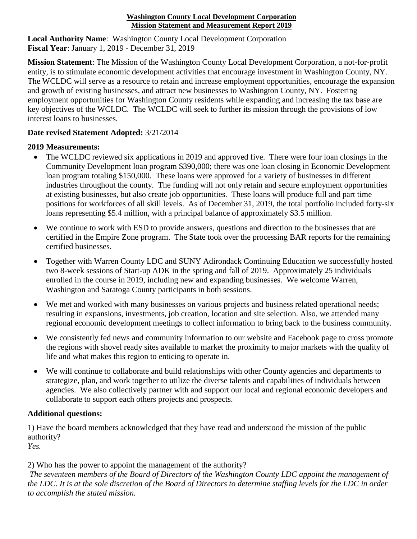## **Washington County Local Development Corporation Mission Statement and Measurement Report 2019**

**Local Authority Name**: Washington County Local Development Corporation **Fiscal Year**: January 1, 2019 - December 31, 2019

**Mission Statement**: The Mission of the Washington County Local Development Corporation, a not-for-profit entity, is to stimulate economic development activities that encourage investment in Washington County, NY. The WCLDC will serve as a resource to retain and increase employment opportunities, encourage the expansion and growth of existing businesses, and attract new businesses to Washington County, NY. Fostering employment opportunities for Washington County residents while expanding and increasing the tax base are key objectives of the WCLDC. The WCLDC will seek to further its mission through the provisions of low interest loans to businesses.

## **Date revised Statement Adopted:** 3/21/2014

## **2019 Measurements:**

- The WCLDC reviewed six applications in 2019 and approved five. There were four loan closings in the Community Development loan program \$390,000; there was one loan closing in Economic Development loan program totaling \$150,000. These loans were approved for a variety of businesses in different industries throughout the county. The funding will not only retain and secure employment opportunities at existing businesses, but also create job opportunities. These loans will produce full and part time positions for workforces of all skill levels. As of December 31, 2019, the total portfolio included forty-six loans representing \$5.4 million, with a principal balance of approximately \$3.5 million.
- We continue to work with ESD to provide answers, questions and direction to the businesses that are certified in the Empire Zone program. The State took over the processing BAR reports for the remaining certified businesses.
- Together with Warren County LDC and SUNY Adirondack Continuing Education we successfully hosted two 8-week sessions of Start-up ADK in the spring and fall of 2019. Approximately 25 individuals enrolled in the course in 2019, including new and expanding businesses. We welcome Warren, Washington and Saratoga County participants in both sessions.
- We met and worked with many businesses on various projects and business related operational needs; resulting in expansions, investments, job creation, location and site selection. Also, we attended many regional economic development meetings to collect information to bring back to the business community.
- We consistently fed news and community information to our website and Facebook page to cross promote the regions with shovel ready sites available to market the proximity to major markets with the quality of life and what makes this region to enticing to operate in.
- We will continue to collaborate and build relationships with other County agencies and departments to strategize, plan, and work together to utilize the diverse talents and capabilities of individuals between agencies. We also collectively partner with and support our local and regional economic developers and collaborate to support each others projects and prospects.

## **Additional questions:**

1) Have the board members acknowledged that they have read and understood the mission of the public authority?

*Yes.*

2) Who has the power to appoint the management of the authority?

*The seventeen members of the Board of Directors of the Washington County LDC appoint the management of the LDC. It is at the sole discretion of the Board of Directors to determine staffing levels for the LDC in order to accomplish the stated mission.*